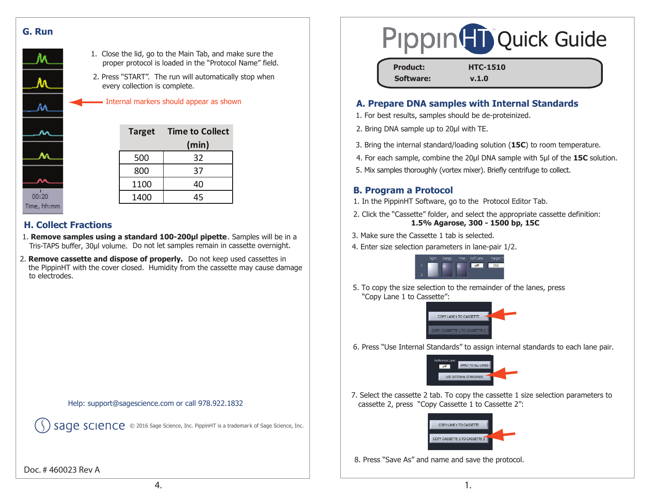



- 1. Close the lid, go to the Main Tab, and make sure the proper protocol is loaded in the "Protocol Name" field.
- 2. Press "START". The run will automatically stop when every collection is complete.

| <b>Target</b> | <b>Time to Collect</b> |
|---------------|------------------------|
|               | (min)                  |
| 500           | 32                     |
| 800           | 37                     |
| 1100          | 40                     |
| 1400          | 45                     |

### **H. Collect Fractions**

- Tris-TAPS buffer, 30µl volume. Do not let samples remain in cassette overnight. 1. **Remove samples using a standard 100-200µl pipette**. Samples will be in a
- 2. **Remove cassette and dispose of properly.** Do not keep used cassettes in the PippinHT with the cover closed. Humidity from the cassette may cause damage to electrodes.

Help: support@sagescience.com or call 978.922.1832

Sage Science, Inc. 3016 Sage Science, Inc. PippinHT is a trademark of Sage Science, Inc.

#### Doc. # 460023 Rev A



| <b>Product:</b> | <b>HTC-1510</b> |  |
|-----------------|-----------------|--|
| Software:       | v.1.0           |  |

### Internal markers should appear as shown **A. Prepare DNA samples with Internal Standards**

- 1. For best results, samples should be de-proteinized.
- 2. Bring DNA sample up to 20μl with TE.
- 3. Bring the internal standard/loading solution (**15C**) to room temperature.
- 4. For each sample, combine the 20μl DNA sample with 5μl of the **15C** solution.
- 5. Mix samples thoroughly (vortex mixer). Briefly centrifuge to collect.

#### **B. Program a Protocol**

- 1. In the PippinHT Software, go to the Protocol Editor Tab.
- 2. Click the "Cassette" folder, and select the appropriate cassette definition: **1.5% Agarose, 300 - 1500 bp, 15C**
- 3. Make sure the Cassette 1 tab is selected.
- 4. Enter size selection parameters in lane-pair 1/2.



5. To copy the size selection to the remainder of the lanes, press "Copy Lane 1 to Cassette":



6. Press "Use Internal Standards" to assign internal standards to each lane pair.



7. Select the cassette 2 tab. To copy the cassette 1 size selection parameters to cassette 2, press "Copy Cassette 1 to Cassette 2":



8. Press "Save As" and name and save the protocol.